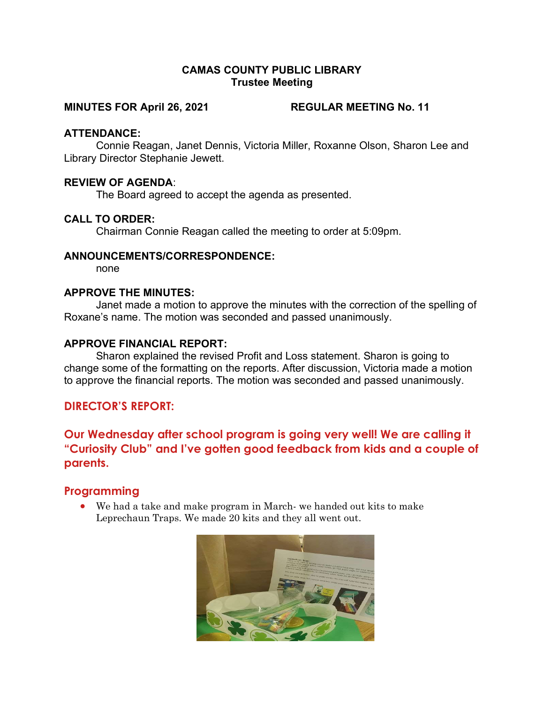## CAMAS COUNTY PUBLIC LIBRARY Trustee Meeting

#### MINUTES FOR April 26, 2021 REGULAR MEETING No. 11

#### ATTENDANCE:

Connie Reagan, Janet Dennis, Victoria Miller, Roxanne Olson, Sharon Lee and Library Director Stephanie Jewett.

## REVIEW OF AGENDA:

The Board agreed to accept the agenda as presented.

## CALL TO ORDER:

Chairman Connie Reagan called the meeting to order at 5:09pm.

#### ANNOUNCEMENTS/CORRESPONDENCE:

none

# APPROVE THE MINUTES:

Janet made a motion to approve the minutes with the correction of the spelling of Roxane's name. The motion was seconded and passed unanimously.

## APPROVE FINANCIAL REPORT:

Sharon explained the revised Profit and Loss statement. Sharon is going to change some of the formatting on the reports. After discussion, Victoria made a motion to approve the financial reports. The motion was seconded and passed unanimously.

# DIRECTOR'S REPORT:

Our Wednesday after school program is going very well! We are calling it "Curiosity Club" and I've gotten good feedback from kids and a couple of parents.

# Programming

 We had a take and make program in March- we handed out kits to make Leprechaun Traps. We made 20 kits and they all went out.

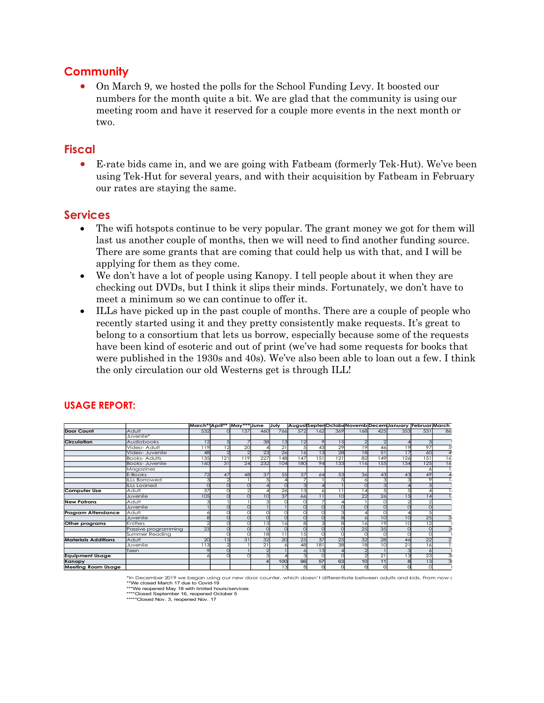# **Community**

 On March 9, we hosted the polls for the School Funding Levy. It boosted our numbers for the month quite a bit. We are glad that the community is using our meeting room and have it reserved for a couple more events in the next month or two.

# Fiscal

 E-rate bids came in, and we are going with Fatbeam (formerly Tek-Hut). We've been using Tek-Hut for several years, and with their acquisition by Fatbeam in February our rates are staying the same.

# Services

- The wifi hotspots continue to be very popular. The grant money we got for them will last us another couple of months, then we will need to find another funding source. There are some grants that are coming that could help us with that, and I will be applying for them as they come.
- We don't have a lot of people using Kanopy. I tell people about it when they are checking out DVDs, but I think it slips their minds. Fortunately, we don't have to meet a minimum so we can continue to offer it.
- ILLs have picked up in the past couple of months. There are a couple of people who recently started using it and they pretty consistently make requests. It's great to belong to a consortium that lets us borrow, especially because some of the requests have been kind of esoteric and out of print (we've had some requests for books that were published in the 1930s and 40s). We've also been able to loan out a few. I think the only circulation our old Westerns get is through ILL! Services<br>
• The will hotspots continue to be very popular. The grant money we got for them will<br>
last us another couple of months, then we will need to find another funding source.<br>
There are some grants that are coming t

| $\bullet$                  |                                                                                                                                                                                                                                                                                                                |                  |                 |                                   |                                    |                 |                          |            |                |                       |                 |                                                                                            |
|----------------------------|----------------------------------------------------------------------------------------------------------------------------------------------------------------------------------------------------------------------------------------------------------------------------------------------------------------|------------------|-----------------|-----------------------------------|------------------------------------|-----------------|--------------------------|------------|----------------|-----------------------|-----------------|--------------------------------------------------------------------------------------------|
|                            | The wifi hotspots continue to be very popular. The grant money we got for them will<br>last us another couple of months, then we will need to find another funding source.<br>There are some grants that are coming that could help us with that, and I will be<br>applying for them as they come.             |                  |                 |                                   |                                    |                 |                          |            |                |                       |                 |                                                                                            |
|                            | We don't have a lot of people using Kanopy. I tell people about it when they are<br>checking out DVDs, but I think it slips their minds. Fortunately, we don't have to<br>meet a minimum so we can continue to offer it.<br>ILLs have picked up in the past couple of months. There are a couple of people who |                  |                 |                                   |                                    |                 |                          |            |                |                       |                 |                                                                                            |
|                            | recently started using it and they pretty consistently make requests. It's great to<br>belong to a consortium that lets us borrow, especially because some of the requests<br>have been kind of esoteric and out of print (we've had some requests for books that                                              |                  |                 |                                   |                                    |                 |                          |            |                |                       |                 |                                                                                            |
|                            | were published in the 1930s and 40s). We've also been able to loan out a few. I think<br>the only circulation our old Westerns get is through ILL!                                                                                                                                                             |                  |                 |                                   |                                    |                 |                          |            |                |                       |                 |                                                                                            |
| <b>USAGE REPORT:</b>       |                                                                                                                                                                                                                                                                                                                |                  |                 |                                   |                                    |                 |                          |            |                |                       |                 | March*'April**  May*** June  July  August SeptenOctobe Novemb Decem January  Februar March |
| <b>Door Count</b>          | Adult                                                                                                                                                                                                                                                                                                          | 53               | 13.             | 460                               | 766                                | 572             |                          | 369        | 16i            | 42                    |                 | 531<br>86                                                                                  |
|                            | Juvenile*                                                                                                                                                                                                                                                                                                      |                  |                 |                                   |                                    |                 |                          |            |                |                       |                 |                                                                                            |
| Circulation                | <b>Audiobooks</b>                                                                                                                                                                                                                                                                                              | 12               |                 | 38                                | 13                                 | 12              |                          | 15         |                |                       |                 |                                                                                            |
|                            | Video- Adult<br>Video- Juvenile                                                                                                                                                                                                                                                                                | 119<br>48        | $\overline{20}$ | $\overline{4}$<br>$\overline{23}$ | $\overline{21}$<br>$\overline{26}$ | $\overline{16}$ | $-43$<br>$\overline{13}$ | 29<br>28   | 79<br>18       | 46<br>$\overline{51}$ | 19<br>17        | $\overline{97}$<br>60                                                                      |
|                            | <b>Books-Adults</b>                                                                                                                                                                                                                                                                                            |                  |                 |                                   |                                    |                 |                          |            |                |                       |                 |                                                                                            |
|                            |                                                                                                                                                                                                                                                                                                                | 121              | 119             |                                   |                                    | 147             |                          |            |                | 149                   |                 |                                                                                            |
|                            | Books- Juvenile                                                                                                                                                                                                                                                                                                | 135<br>160<br>31 | 24              | 227<br>232                        | 148<br>104                         | 180             | 151<br>94                | 121<br>133 | 82<br>116      | 155                   | 126<br>134      | 151<br>16<br>125<br>16                                                                     |
|                            | Aagazines                                                                                                                                                                                                                                                                                                      |                  |                 |                                   |                                    |                 |                          |            |                |                       |                 | $\overline{6}$                                                                             |
|                            | Books                                                                                                                                                                                                                                                                                                          | 72<br>47         | 48              | 37                                | 55                                 | 37              | 64                       | 53         | 36             | 43                    |                 | 49                                                                                         |
|                            | LLs Borrowed                                                                                                                                                                                                                                                                                                   |                  |                 |                                   | $\overline{A}$                     |                 |                          |            | $\epsilon$     |                       |                 | 9                                                                                          |
| <b>Computer Use</b>        | LLs Loaned<br>Adult                                                                                                                                                                                                                                                                                            |                  |                 |                                   | 26                                 | 13              |                          |            | 14             |                       |                 | $\overline{4}$                                                                             |
|                            | Juvenile                                                                                                                                                                                                                                                                                                       | 105              |                 | 10                                | 37                                 | 66              | 11                       | 10         | 22             | 26                    | 15              | 14                                                                                         |
| <b>New Patrons</b>         | Adult                                                                                                                                                                                                                                                                                                          |                  |                 |                                   |                                    |                 |                          |            |                | $\circ$               |                 | $\overline{2}$                                                                             |
| <b>Program Attendance</b>  | Juvenile<br>Adult                                                                                                                                                                                                                                                                                              |                  |                 | $\circ$                           | $\circ$                            |                 |                          |            | $\overline{4}$ | $\overline{0}$        |                 | $\overline{0}$                                                                             |
|                            | luvenile                                                                                                                                                                                                                                                                                                       |                  |                 | $\overline{0}$                    | $\overline{0}$                     |                 |                          |            |                | 10                    | 10              | $\frac{5}{25}$                                                                             |
| Other programs             | <b>Cnitters</b>                                                                                                                                                                                                                                                                                                |                  |                 | 13                                | 16                                 |                 |                          |            | 16             | 19                    | 10              | 12                                                                                         |
|                            | assive programming                                                                                                                                                                                                                                                                                             | 23               |                 |                                   |                                    |                 |                          |            | 25             | 35                    |                 | $\overline{0}$                                                                             |
| <b>Materials Additions</b> | ummer Reading<br>tlubA                                                                                                                                                                                                                                                                                         | $\mathcal{D}$    |                 | 18<br>32                          | $\overline{11}$<br>20              | 15<br>25        | 37                       | 25         | 32             | 28                    | 46              | $\overline{\mathrm{o}}$<br>$\overline{22}$                                                 |
|                            | Juvenile                                                                                                                                                                                                                                                                                                       | 113              |                 | 21                                |                                    | 48              | 181                      | 38         |                | 10                    | $\overline{21}$ | 16                                                                                         |
|                            | een                                                                                                                                                                                                                                                                                                            |                  |                 |                                   |                                    |                 | 13                       |            |                |                       |                 | $\epsilon$                                                                                 |
| <b>Equipment Usage</b>     |                                                                                                                                                                                                                                                                                                                |                  |                 |                                   |                                    |                 |                          |            |                | $\overline{21}$       | 13              | 23                                                                                         |
| Kanopy                     |                                                                                                                                                                                                                                                                                                                |                  |                 |                                   | 100                                | 96              | 57                       | 63         | 10             | 11                    |                 | $\overline{13}$                                                                            |

# USAGE REPORT: